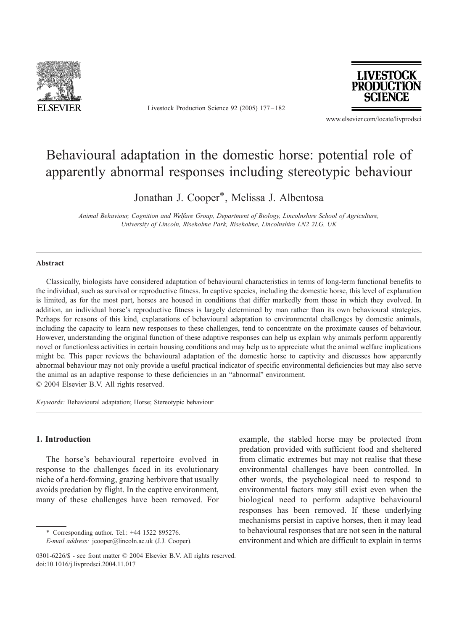

Livestock Production Science 92 (2005) 177 – 182



www.elsevier.com/locate/livprodsci

# Behavioural adaptation in the domestic horse: potential role of apparently abnormal responses including stereotypic behaviour

Jonathan J. Cooper\*, Melissa J. Albentosa

Animal Behaviour, Cognition and Welfare Group, Department of Biology, Lincolnshire School of Agriculture, University of Lincoln, Riseholme Park, Riseholme, Lincolnshire LN2 2LG, UK

## Abstract

Classically, biologists have considered adaptation of behavioural characteristics in terms of long-term functional benefits to the individual, such as survival or reproductive fitness. In captive species, including the domestic horse, this level of explanation is limited, as for the most part, horses are housed in conditions that differ markedly from those in which they evolved. In addition, an individual horse's reproductive fitness is largely determined by man rather than its own behavioural strategies. Perhaps for reasons of this kind, explanations of behavioural adaptation to environmental challenges by domestic animals, including the capacity to learn new responses to these challenges, tend to concentrate on the proximate causes of behaviour. However, understanding the original function of these adaptive responses can help us explain why animals perform apparently novel or functionless activities in certain housing conditions and may help us to appreciate what the animal welfare implications might be. This paper reviews the behavioural adaptation of the domestic horse to captivity and discusses how apparently abnormal behaviour may not only provide a useful practical indicator of specific environmental deficiencies but may also serve the animal as an adaptive response to these deficiencies in an "abnormal" environment.  $© 2004 Elsevier B.V. All rights reserved.$ 

Keywords: Behavioural adaptation; Horse; Stereotypic behaviour

## 1. Introduction

The horse's behavioural repertoire evolved in response to the challenges faced in its evolutionary niche of a herd-forming, grazing herbivore that usually avoids predation by flight. In the captive environment, many of these challenges have been removed. For

\* Corresponding author. Tel.: +44 1522 895276.

E-mail address: jcooper@lincoln.ac.uk (J.J. Cooper).

example, the stabled horse may be protected from predation provided with sufficient food and sheltered from climatic extremes but may not realise that these environmental challenges have been controlled. In other words, the psychological need to respond to environmental factors may still exist even when the biological need to perform adaptive behavioural responses has been removed. If these underlying mechanisms persist in captive horses, then it may lead to behavioural responses that are not seen in the natural environment and which are difficult to explain in terms

<sup>0301-6226/\$ -</sup> see front matter  $\odot$  2004 Elsevier B.V. All rights reserved. doi:10.1016/j.livprodsci.2004.11.017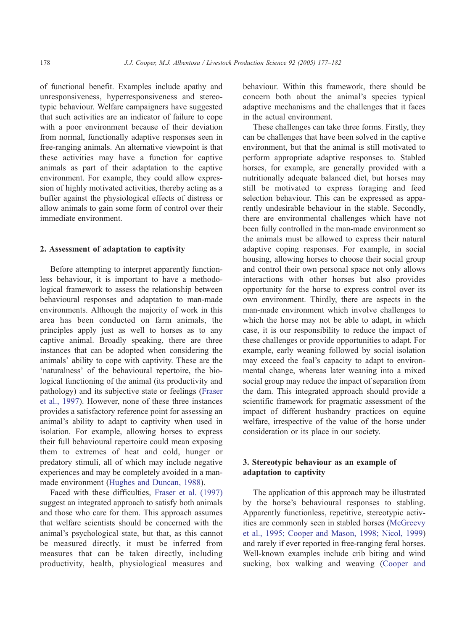of functional benefit. Examples include apathy and unresponsiveness, hyperresponsiveness and stereotypic behaviour. Welfare campaigners have suggested that such activities are an indicator of failure to cope with a poor environment because of their deviation from normal, functionally adaptive responses seen in free-ranging animals. An alternative viewpoint is that these activities may have a function for captive animals as part of their adaptation to the captive environment. For example, they could allow expression of highly motivated activities, thereby acting as a buffer against the physiological effects of distress or allow animals to gain some form of control over their immediate environment.

## 2. Assessment of adaptation to captivity

Before attempting to interpret apparently functionless behaviour, it is important to have a methodological framework to assess the relationship between behavioural responses and adaptation to man-made environments. Although the majority of work in this area has been conducted on farm animals, the principles apply just as well to horses as to any captive animal. Broadly speaking, there are three instances that can be adopted when considering the animals' ability to cope with captivity. These are the 'naturalness' of the behavioural repertoire, the biological functioning of the animal (its productivity and pathology) and its subjective state or feelings ([Fraser](#page-5-0) et al., 1997). However, none of these three instances provides a satisfactory reference point for assessing an animal's ability to adapt to captivity when used in isolation. For example, allowing horses to express their full behavioural repertoire could mean exposing them to extremes of heat and cold, hunger or predatory stimuli, all of which may include negative experiences and may be completely avoided in a manmade environment ([Hughes and Duncan, 1988\)](#page-5-0).

Faced with these difficulties, [Fraser et al. \(1997\)](#page-5-0) suggest an integrated approach to satisfy both animals and those who care for them. This approach assumes that welfare scientists should be concerned with the animal's psychological state, but that, as this cannot be measured directly, it must be inferred from measures that can be taken directly, including productivity, health, physiological measures and behaviour. Within this framework, there should be concern both about the animal's species typical adaptive mechanisms and the challenges that it faces in the actual environment.

These challenges can take three forms. Firstly, they can be challenges that have been solved in the captive environment, but that the animal is still motivated to perform appropriate adaptive responses to. Stabled horses, for example, are generally provided with a nutritionally adequate balanced diet, but horses may still be motivated to express foraging and feed selection behaviour. This can be expressed as apparently undesirable behaviour in the stable. Secondly, there are environmental challenges which have not been fully controlled in the man-made environment so the animals must be allowed to express their natural adaptive coping responses. For example, in social housing, allowing horses to choose their social group and control their own personal space not only allows interactions with other horses but also provides opportunity for the horse to express control over its own environment. Thirdly, there are aspects in the man-made environment which involve challenges to which the horse may not be able to adapt, in which case, it is our responsibility to reduce the impact of these challenges or provide opportunities to adapt. For example, early weaning followed by social isolation may exceed the foal's capacity to adapt to environmental change, whereas later weaning into a mixed social group may reduce the impact of separation from the dam. This integrated approach should provide a scientific framework for pragmatic assessment of the impact of different husbandry practices on equine welfare, irrespective of the value of the horse under consideration or its place in our society.

# 3. Stereotypic behaviour as an example of adaptation to captivity

The application of this approach may be illustrated by the horse's behavioural responses to stabling. Apparently functionless, repetitive, stereotypic activities are commonly seen in stabled horses ([McGreevy](#page-5-0) et al., 1995; Cooper and Mason, 1998; Nicol, 1999) and rarely if ever reported in free-ranging feral horses. Well-known examples include crib biting and wind sucking, box walking and weaving ([Cooper and](#page-4-0)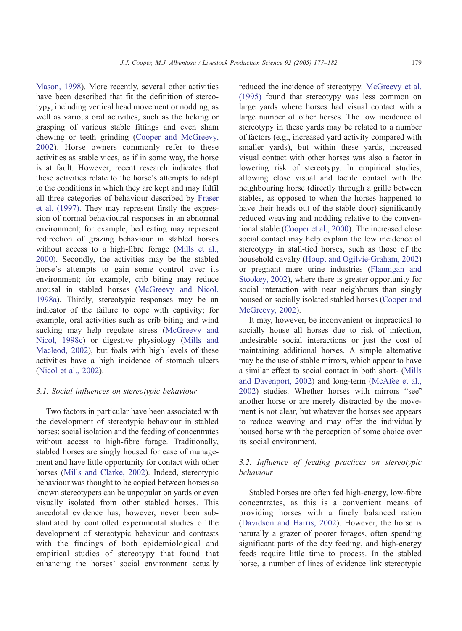Mason, 1998). More recently, several other activities have been described that fit the definition of stereotypy, including vertical head movement or nodding, as well as various oral activities, such as the licking or grasping of various stable fittings and even sham chewing or teeth grinding ([Cooper and McGreevy,](#page-4-0) 2002). Horse owners commonly refer to these activities as stable vices, as if in some way, the horse is at fault. However, recent research indicates that these activities relate to the horse's attempts to adapt to the conditions in which they are kept and may fulfil all three categories of behaviour described by [Fraser](#page-5-0) et al. (1997). They may represent firstly the expression of normal behavioural responses in an abnormal environment; for example, bed eating may represent redirection of grazing behaviour in stabled horses without access to a high-fibre forage ([Mills et al.,](#page-5-0) 2000). Secondly, the activities may be the stabled horse's attempts to gain some control over its environment; for example, crib biting may reduce arousal in stabled horses ([McGreevy and Nicol,](#page-5-0) 1998a). Thirdly, stereotypic responses may be an indicator of the failure to cope with captivity; for example, oral activities such as crib biting and wind sucking may help regulate stress ([McGreevy and](#page-5-0) Nicol, 1998c) or digestive physiology ([Mills and](#page-5-0) Macleod, 2002), but foals with high levels of these activities have a high incidence of stomach ulcers ([Nicol et al., 2002\)](#page-5-0).

#### 3.1. Social influences on stereotypic behaviour

Two factors in particular have been associated with the development of stereotypic behaviour in stabled horses: social isolation and the feeding of concentrates without access to high-fibre forage. Traditionally, stabled horses are singly housed for ease of management and have little opportunity for contact with other horses [\(Mills and Clarke, 2002\)](#page-5-0). Indeed, stereotypic behaviour was thought to be copied between horses so known stereotypers can be unpopular on yards or even visually isolated from other stabled horses. This anecdotal evidence has, however, never been substantiated by controlled experimental studies of the development of stereotypic behaviour and contrasts with the findings of both epidemiological and empirical studies of stereotypy that found that enhancing the horses' social environment actually reduced the incidence of stereotypy. [McGreevy et al.](#page-5-0) (1995) found that stereotypy was less common on large yards where horses had visual contact with a large number of other horses. The low incidence of stereotypy in these yards may be related to a number of factors (e.g., increased yard activity compared with smaller yards), but within these yards, increased visual contact with other horses was also a factor in lowering risk of stereotypy. In empirical studies, allowing close visual and tactile contact with the neighbouring horse (directly through a grille between stables, as opposed to when the horses happened to have their heads out of the stable door) significantly reduced weaving and nodding relative to the conventional stable ([Cooper et al., 2000\)](#page-5-0). The increased close social contact may help explain the low incidence of stereotypy in stall-tied horses, such as those of the household cavalry ([Houpt and Ogilvie-Graham, 2002\)](#page-5-0) or pregnant mare urine industries ([Flannigan and](#page-5-0) Stookey, 2002), where there is greater opportunity for social interaction with near neighbours than singly housed or socially isolated stabled horses ([Cooper and](#page-4-0) McGreevy, 2002).

It may, however, be inconvenient or impractical to socially house all horses due to risk of infection, undesirable social interactions or just the cost of maintaining additional horses. A simple alternative may be the use of stable mirrors, which appear to have a similar effect to social contact in both short- ([Mills](#page-5-0) and Davenport, 2002) and long-term ([McAfee et al.,](#page-5-0) 2002) studies. Whether horses with mirrors "see" another horse or are merely distracted by the movement is not clear, but whatever the horses see appears to reduce weaving and may offer the individually housed horse with the perception of some choice over its social environment.

# 3.2. Influence of feeding practices on stereotypic behaviour

Stabled horses are often fed high-energy, low-fibre concentrates, as this is a convenient means of providing horses with a finely balanced ration ([Davidson and Harris, 2002\)](#page-5-0). However, the horse is naturally a grazer of poorer forages, often spending significant parts of the day feeding, and high-energy feeds require little time to process. In the stabled horse, a number of lines of evidence link stereotypic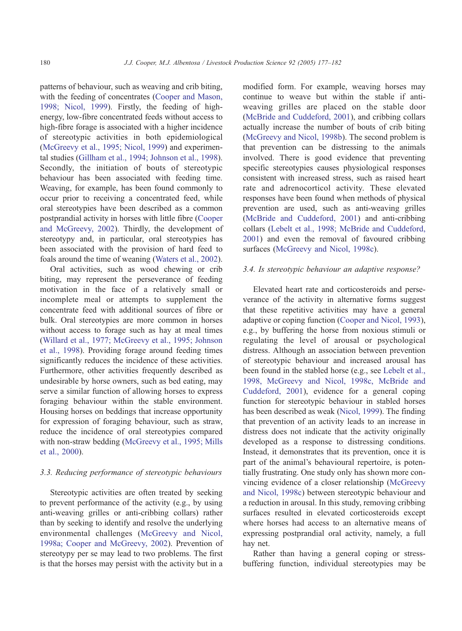patterns of behaviour, such as weaving and crib biting, with the feeding of concentrates ([Cooper and Mason,](#page-4-0) 1998; Nicol, 1999). Firstly, the feeding of highenergy, low-fibre concentrated feeds without access to high-fibre forage is associated with a higher incidence of stereotypic activities in both epidemiological ([McGreevy et al., 1995; Nicol, 1999\)](#page-5-0) and experimental studies ([Gillham et al., 1994; Johnson et al., 1998\)](#page-5-0). Secondly, the initiation of bouts of stereotypic behaviour has been associated with feeding time. Weaving, for example, has been found commonly to occur prior to receiving a concentrated feed, while oral stereotypies have been described as a common postprandial activity in horses with little fibre ([Cooper](#page-4-0) and McGreevy, 2002). Thirdly, the development of stereotypy and, in particular, oral stereotypies has been associated with the provision of hard feed to foals around the time of weaning ([Waters et al., 2002\)](#page-5-0).

Oral activities, such as wood chewing or crib biting, may represent the perseverance of feeding motivation in the face of a relatively small or incomplete meal or attempts to supplement the concentrate feed with additional sources of fibre or bulk. Oral stereotypies are more common in horses without access to forage such as hay at meal times ([Willard et al., 1977; McGreevy et al., 1995; Johnson](#page-5-0) et al., 1998). Providing forage around feeding times significantly reduces the incidence of these activities. Furthermore, other activities frequently described as undesirable by horse owners, such as bed eating, may serve a similar function of allowing horses to express foraging behaviour within the stable environment. Housing horses on beddings that increase opportunity for expression of foraging behaviour, such as straw, reduce the incidence of oral stereotypies compared with non-straw bedding ([McGreevy et al., 1995; Mills](#page-5-0) et al., 2000).

## 3.3. Reducing performance of stereotypic behaviours

Stereotypic activities are often treated by seeking to prevent performance of the activity (e.g., by using anti-weaving grilles or anti-cribbing collars) rather than by seeking to identify and resolve the underlying environmental challenges ([McGreevy and Nicol,](#page-5-0) 1998a; Cooper and McGreevy, 2002). Prevention of stereotypy per se may lead to two problems. The first is that the horses may persist with the activity but in a

modified form. For example, weaving horses may continue to weave but within the stable if antiweaving grilles are placed on the stable door ([McBride and Cuddeford, 2001\)](#page-5-0), and cribbing collars actually increase the number of bouts of crib biting ([McGreevy and Nicol, 1998b\)](#page-5-0). The second problem is that prevention can be distressing to the animals involved. There is good evidence that preventing specific stereotypies causes physiological responses consistent with increased stress, such as raised heart rate and adrenocorticol activity. These elevated responses have been found when methods of physical prevention are used, such as anti-weaving grilles ([McBride and Cuddeford, 2001\)](#page-5-0) and anti-cribbing collars ([Lebelt et al., 1998; McBride and Cuddeford,](#page-5-0) 2001) and even the removal of favoured cribbing surfaces ([McGreevy and Nicol, 1998c\)](#page-5-0).

#### 3.4. Is stereotypic behaviour an adaptive response?

Elevated heart rate and corticosteroids and perseverance of the activity in alternative forms suggest that these repetitive activities may have a general adaptive or coping function ([Cooper and Nicol, 1993\)](#page-5-0), e.g., by buffering the horse from noxious stimuli or regulating the level of arousal or psychological distress. Although an association between prevention of stereotypic behaviour and increased arousal has been found in the stabled horse (e.g., see [Lebelt et al.,](#page-5-0) 1998, McGreevy and Nicol, 1998c, McBride and Cuddeford, 2001), evidence for a general coping function for stereotypic behaviour in stabled horses has been described as weak ([Nicol, 1999\)](#page-5-0). The finding that prevention of an activity leads to an increase in distress does not indicate that the activity originally developed as a response to distressing conditions. Instead, it demonstrates that its prevention, once it is part of the animal's behavioural repertoire, is potentially frustrating. One study only has shown more convincing evidence of a closer relationship ([McGreevy](#page-5-0) and Nicol, 1998c) between stereotypic behaviour and a reduction in arousal. In this study, removing cribbing surfaces resulted in elevated corticosteroids except where horses had access to an alternative means of expressing postprandial oral activity, namely, a full hay net.

Rather than having a general coping or stressbuffering function, individual stereotypies may be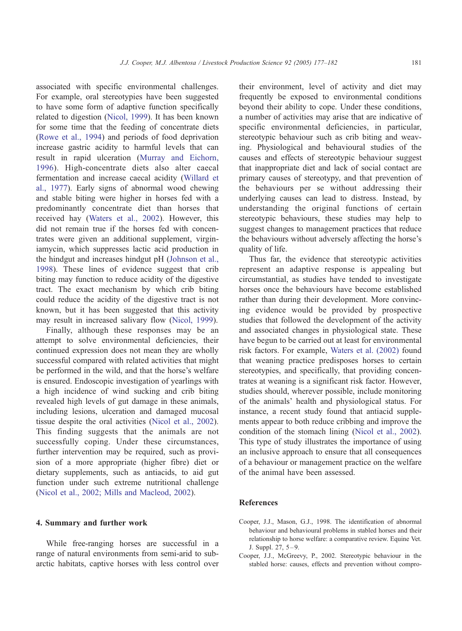<span id="page-4-0"></span>associated with specific environmental challenges. For example, oral stereotypies have been suggested to have some form of adaptive function specifically related to digestion ([Nicol, 1999\)](#page-5-0). It has been known for some time that the feeding of concentrate diets ([Rowe et al., 1994\)](#page-5-0) and periods of food deprivation increase gastric acidity to harmful levels that can result in rapid ulceration ([Murray and Eichorn,](#page-5-0) 1996). High-concentrate diets also alter caecal fermentation and increase caecal acidity ([Willard et](#page-5-0) al., 1977). Early signs of abnormal wood chewing and stable biting were higher in horses fed with a predominantly concentrate diet than horses that received hay ([Waters et al., 2002\)](#page-5-0). However, this did not remain true if the horses fed with concentrates were given an additional supplement, virginiamycin, which suppresses lactic acid production in the hindgut and increases hindgut pH ([Johnson et al.,](#page-5-0) 1998). These lines of evidence suggest that crib biting may function to reduce acidity of the digestive tract. The exact mechanism by which crib biting could reduce the acidity of the digestive tract is not known, but it has been suggested that this activity may result in increased salivary flow ([Nicol, 1999\)](#page-5-0).

Finally, although these responses may be an attempt to solve environmental deficiencies, their continued expression does not mean they are wholly successful compared with related activities that might be performed in the wild, and that the horse's welfare is ensured. Endoscopic investigation of yearlings with a high incidence of wind sucking and crib biting revealed high levels of gut damage in these animals, including lesions, ulceration and damaged mucosal tissue despite the oral activities ([Nicol et al., 2002\)](#page-5-0). This finding suggests that the animals are not successfully coping. Under these circumstances, further intervention may be required, such as provision of a more appropriate (higher fibre) diet or dietary supplements, such as antiacids, to aid gut function under such extreme nutritional challenge ([Nicol et al., 2002; Mills and Macleod, 2002\)](#page-5-0).

## 4. Summary and further work

While free-ranging horses are successful in a range of natural environments from semi-arid to subarctic habitats, captive horses with less control over their environment, level of activity and diet may frequently be exposed to environmental conditions beyond their ability to cope. Under these conditions, a number of activities may arise that are indicative of specific environmental deficiencies, in particular, stereotypic behaviour such as crib biting and weaving. Physiological and behavioural studies of the causes and effects of stereotypic behaviour suggest that inappropriate diet and lack of social contact are primary causes of stereotypy, and that prevention of the behaviours per se without addressing their underlying causes can lead to distress. Instead, by understanding the original functions of certain stereotypic behaviours, these studies may help to suggest changes to management practices that reduce the behaviours without adversely affecting the horse's quality of life.

Thus far, the evidence that stereotypic activities represent an adaptive response is appealing but circumstantial, as studies have tended to investigate horses once the behaviours have become established rather than during their development. More convincing evidence would be provided by prospective studies that followed the development of the activity and associated changes in physiological state. These have begun to be carried out at least for environmental risk factors. For example, [Waters et al. \(2002\)](#page-5-0) found that weaning practice predisposes horses to certain stereotypies, and specifically, that providing concentrates at weaning is a significant risk factor. However, studies should, wherever possible, include monitoring of the animals' health and physiological status. For instance, a recent study found that antiacid supplements appear to both reduce cribbing and improve the condition of the stomach lining ([Nicol et al., 2002\)](#page-5-0). This type of study illustrates the importance of using an inclusive approach to ensure that all consequences of a behaviour or management practice on the welfare of the animal have been assessed.

### References

- Cooper, J.J., Mason, G.J., 1998. The identification of abnormal behaviour and behavioural problems in stabled horses and their relationship to horse welfare: a comparative review. Equine Vet. J. Suppl. 27, 5-9.
- Cooper, J.J., McGreevy, P., 2002. Stereotypic behaviour in the stabled horse: causes, effects and prevention without compro-